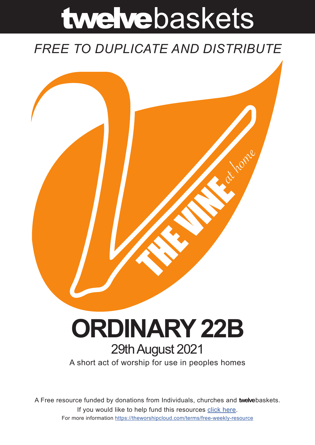# twelvebaskets

### *FREE TO DUPLICATE AND DISTRIBUTE*



## **ORDINARY 22B** 29th August 2021

A short act of worship for use in peoples homes

A Free resource funded by donations from Individuals, churches and **twelve**baskets. If you would like to help fund this resources click here. For more information https://theworshipcloud.com/terms/free-weekly-resource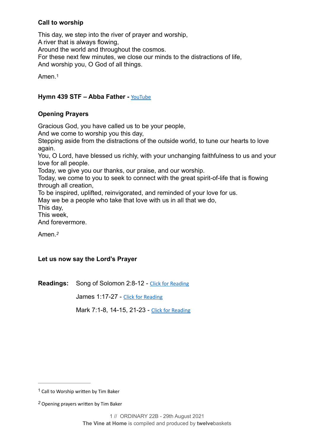#### **Call to worship**

This day, we step into the river of prayer and worship, A river that is always flowing, Around the world and throughout the cosmos. For these next few minutes, we close our minds to the distractions of life, And worship you, O God of all things.

<span id="page-1-2"></span>Amen.[1](#page-1-0)

#### **Hymn 439 STF – Abba Father -** [YouTube](https://www.youtube.com/watch?v=lxVxoRDZQEk)

#### **Opening Prayers**

Gracious God, you have called us to be your people,

And we come to worship you this day,

Stepping aside from the distractions of the outside world, to tune our hearts to love again.

You, O Lord, have blessed us richly, with your unchanging faithfulness to us and your love for all people.

Today, we give you our thanks, our praise, and our worship.

Today, we come to you to seek to connect with the great spirit-of-life that is flowing through all creation,

To be inspired, uplifted, reinvigorated, and reminded of your love for us.

May we be a people who take that love with us in all that we do,

This day,

This week,

And forevermore.

<span id="page-1-3"></span>Amen.*[2](#page-1-1)*

#### **Let us now say the Lord's Prayer**

**Readings:** Song of Solomon 2:8-12 - [Click for Reading](https://www.biblegateway.com/passage/?search=Song+of+Solomon+2:8-12&version=NRSV)

James 1:17-27 - [Click for Reading](https://www.biblegateway.com/passage/?search=James+1:17-27&version=NRSV)

Mark 7:1-8, 14-15, 21-23 - [Click for Reading](https://www.biblegateway.com/passage/?search=Mark+7:1-8,+14-15,+21-23&version=NRSV)

<span id="page-1-0"></span> $1$  Call to Worship written by Tim Baker

<span id="page-1-1"></span>Opening prayers written by Tim Baker *[2](#page-1-3)*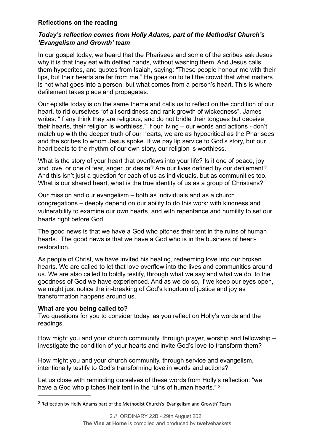#### **Reflections on the reading**

#### *Today's reflection comes from Holly Adams, part of the Methodist Church's 'Evangelism and Growth' team*

In our gospel today, we heard that the Pharisees and some of the scribes ask Jesus why it is that they eat with defiled hands, without washing them. And Jesus calls them hypocrites, and quotes from Isaiah, saying: "These people honour me with their lips, but their hearts are far from me." He goes on to tell the crowd that what matters is not what goes into a person, but what comes from a person's heart. This is where defilement takes place and propagates.

Our epistle today is on the same theme and calls us to reflect on the condition of our heart, to rid ourselves "of all sordidness and rank growth of wickedness". James writes: "If any think they are religious, and do not bridle their tongues but deceive their hearts, their religion is worthless." If our living – our words and actions - don't match up with the deeper truth of our hearts, we are as hypocritical as the Pharisees and the scribes to whom Jesus spoke. If we pay lip service to God's story, but our heart beats to the rhythm of our own story, our religion is worthless.

What is the story of your heart that overflows into your life? Is it one of peace, joy and love, or one of fear, anger, or desire? Are our lives defined by our defilement? And this isn't just a question for each of us as individuals, but as communities too. What is our shared heart, what is the true identity of us as a group of Christians?

Our mission and our evangelism – both as individuals and as a church congregations – deeply depend on our ability to do this work: with kindness and vulnerability to examine our own hearts, and with repentance and humility to set our hearts right before God.

The good news is that we have a God who pitches their tent in the ruins of human hearts. The good news is that we have a God who is in the business of heartrestoration.

As people of Christ, we have invited his healing, redeeming love into our broken hearts. We are called to let that love overflow into the lives and communities around us. We are also called to boldly testify, through what we say and what we do, to the goodness of God we have experienced. And as we do so, if we keep our eyes open, we might just notice the in-breaking of God's kingdom of justice and joy as transformation happens around us.

#### **What are you being called to?**

Two questions for you to consider today, as you reflect on Holly's words and the readings.

How might you and your church community, through prayer, worship and fellowship – investigate the condition of your hearts and invite God's love to transform them?

How might you and your church community, through service and evangelism, intentionally testify to God's transforming love in words and actions?

<span id="page-2-1"></span>Let us close with reminding ourselves of these words from Holly's reflection: "we have a God who pitches their tent in the ruins of human hearts." [3](#page-2-0)

<span id="page-2-0"></span><sup>&</sup>lt;sup>[3](#page-2-1)</sup> Reflection by Holly Adams part of the Methodist Church's 'Evangelism and Growth' Team